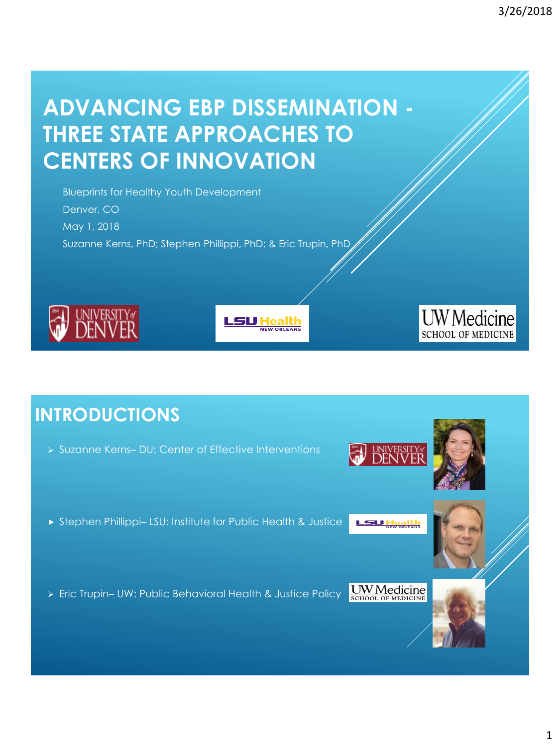# **ADVANCING EBP DISSEMINATION - THREE STATE APPROACHES TO CENTERS OF INNOVATION**

Blueprints for Healthy Youth Development Denver, CO May 1, 2018 Suzanne Kerns, PhD; Stephen Phillippi, PhD; & Eric Trupin, PhD







# **INTRODUCTIONS**

Suzanne Kerns– DU: Center of Effective Interventions





- Stephen Phillippi– LSU: Institute for Public Health & Justice **SU Healt**
- Eric Trupin– UW: Public Behavioral Health & Justice Policy



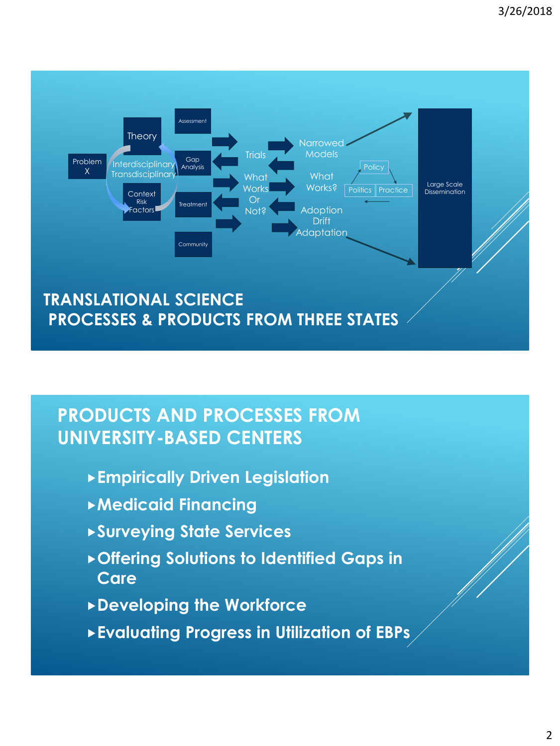

#### **PRODUCTS AND PROCESSES FROM UNIVERSITY-BASED CENTERS**

- **Empirically Driven Legislation**
- **Medicaid Financing**
- **Surveying State Services**
- **Offering Solutions to Identified Gaps in Care**
- **Developing the Workforce**
- **Evaluating Progress in Utilization of EBPs**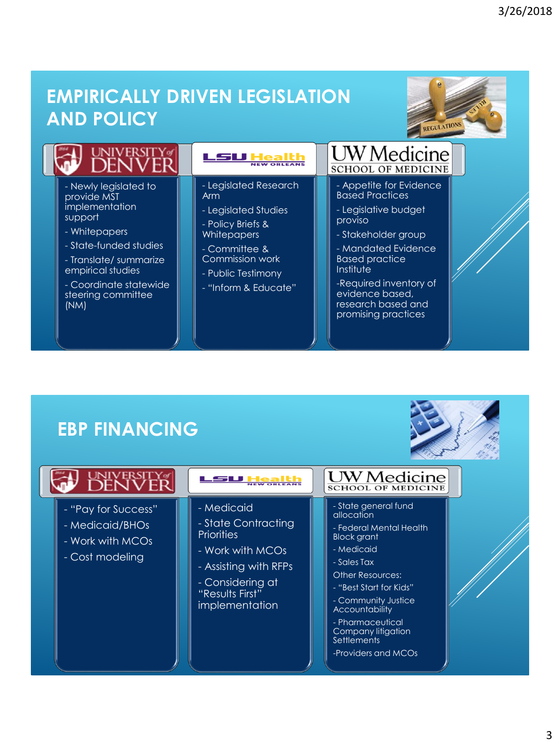### **EMPIRICALLY DRIVEN LEGISLATION AND POLICY**



|                                                                          | <b>LSU Heal</b><br>NEW ORLEANS                                | <b>UW</b> Medicine<br><b>SCHOOL OF MEDICINE</b>                           |
|--------------------------------------------------------------------------|---------------------------------------------------------------|---------------------------------------------------------------------------|
| - Newly legislated to<br>provide MST<br><i>implementation</i><br>support | - Legislated Research<br>Arm<br>- Legislated Studies          | - Appetite for Evidence<br><b>Based Practices</b><br>- Legislative budget |
| - Whitepapers<br>- State-funded studies                                  | - Policy Briefs &<br><b>Whitepapers</b><br>- Committee &      | proviso<br>- Stakeholder group<br>- Mandated Evidence                     |
| - Translate/ summarize<br>empirical studies<br>- Coordinate statewide    | Commission work<br>- Public Testimony<br>- "Inform & Educate" | <b>Based practice</b><br><b>Institute</b><br>-Required inventory of       |

evidence based, research based and promising practices

steering committee (NM)



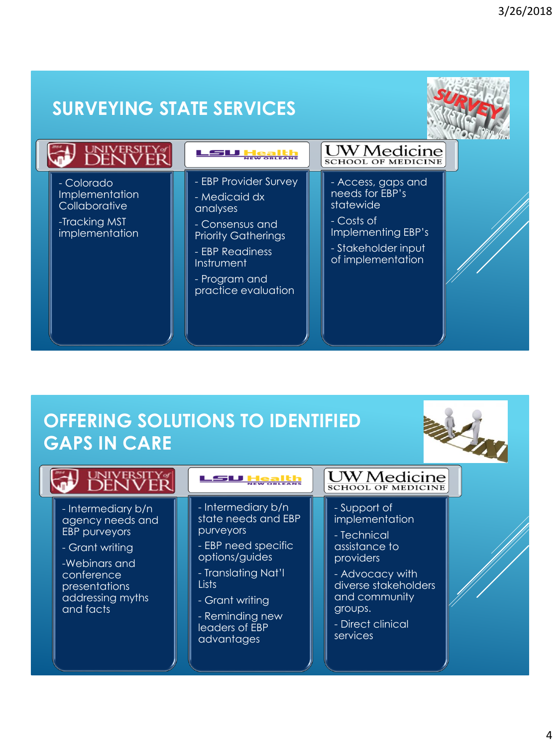

# **OFFERING SOLUTIONS TO IDENTIFIED GAPS IN CARE**



| <b>DENI</b>                                                                                                                                                        |                                                                                                                                                                                                       | <b>UW</b> Medicine<br><b>SCHOOL OF MEDICINE</b>                                                                                                                                     |  |
|--------------------------------------------------------------------------------------------------------------------------------------------------------------------|-------------------------------------------------------------------------------------------------------------------------------------------------------------------------------------------------------|-------------------------------------------------------------------------------------------------------------------------------------------------------------------------------------|--|
| - Intermediary b/n<br>agency needs and<br><b>EBP</b> purveyors<br>- Grant writing<br>-Webinars and<br>conference<br>presentations<br>addressing myths<br>and facts | - Intermediary b/n<br>state needs and EBP<br>purveyors<br>- EBP need specific<br>options/guides<br>- Translating Nat'l<br>Lists<br>- Grant writing<br>- Reminding new<br>leaders of EBP<br>advantages | - Support of<br>implementation<br>- Technical<br>assistance to<br>providers<br>- Advocacy with<br>diverse stakeholders<br>and community<br>groups.<br>- Direct clinical<br>services |  |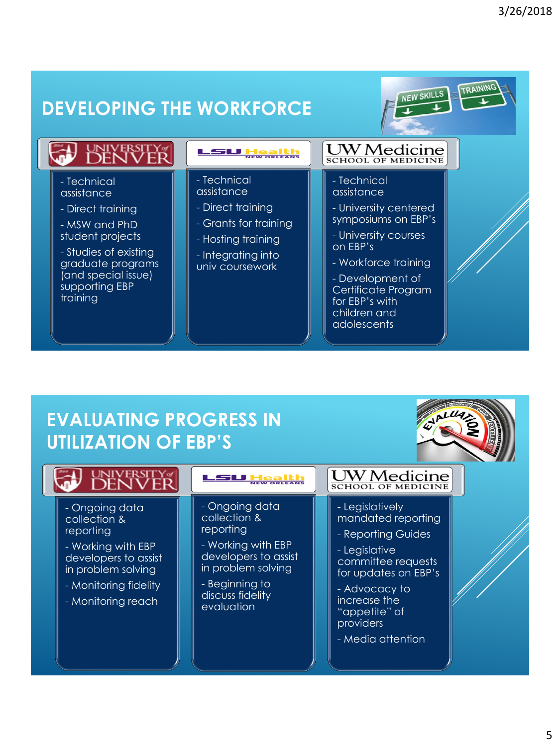

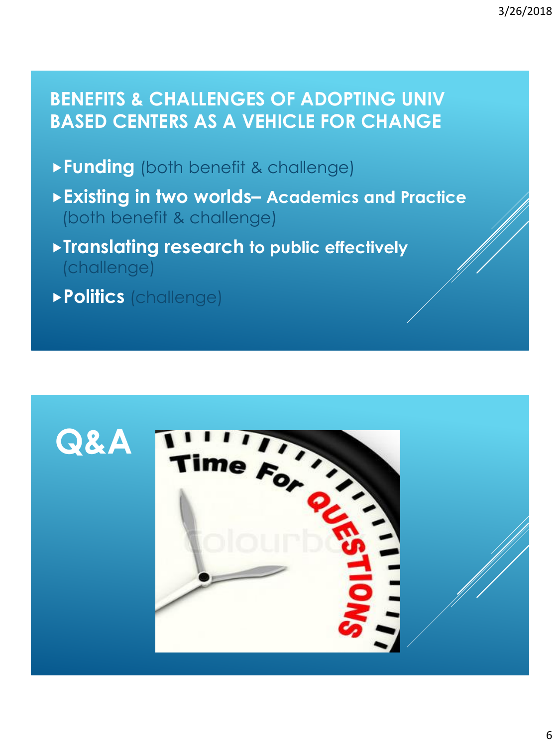## **BENEFITS & CHALLENGES OF ADOPTING UNIV BASED CENTERS AS A VEHICLE FOR CHANGE**

- **Funding** (both benefit & challenge)
- **Existing in two worlds– Academics and Practice**  (both benefit & challenge)
- **Translating research to public effectively**  (challenge)
- **Politics** (challenge)